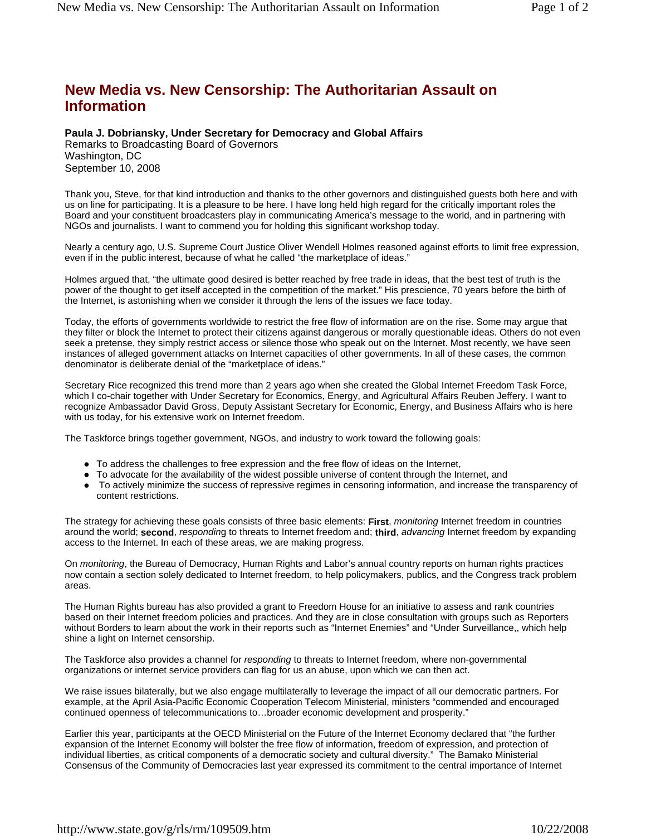## **New Media vs. New Censorship: The Authoritarian Assault on Information**

## **Paula J. Dobriansky, Under Secretary for Democracy and Global Affairs**

Remarks to Broadcasting Board of Governors Washington, DC September 10, 2008

Thank you, Steve, for that kind introduction and thanks to the other governors and distinguished guests both here and with us on line for participating. It is a pleasure to be here. I have long held high regard for the critically important roles the Board and your constituent broadcasters play in communicating America's message to the world, and in partnering with NGOs and journalists. I want to commend you for holding this significant workshop today.

Nearly a century ago, U.S. Supreme Court Justice Oliver Wendell Holmes reasoned against efforts to limit free expression, even if in the public interest, because of what he called "the marketplace of ideas."

Holmes argued that, "the ultimate good desired is better reached by free trade in ideas, that the best test of truth is the power of the thought to get itself accepted in the competition of the market." His prescience, 70 years before the birth of the Internet, is astonishing when we consider it through the lens of the issues we face today.

Today, the efforts of governments worldwide to restrict the free flow of information are on the rise. Some may argue that they filter or block the Internet to protect their citizens against dangerous or morally questionable ideas. Others do not even seek a pretense, they simply restrict access or silence those who speak out on the Internet. Most recently, we have seen instances of alleged government attacks on Internet capacities of other governments. In all of these cases, the common denominator is deliberate denial of the "marketplace of ideas."

Secretary Rice recognized this trend more than 2 years ago when she created the Global Internet Freedom Task Force, which I co-chair together with Under Secretary for Economics, Energy, and Agricultural Affairs Reuben Jeffery. I want to recognize Ambassador David Gross, Deputy Assistant Secretary for Economic, Energy, and Business Affairs who is here with us today, for his extensive work on Internet freedom.

The Taskforce brings together government, NGOs, and industry to work toward the following goals:

- To address the challenges to free expression and the free flow of ideas on the Internet,
- To advocate for the availability of the widest possible universe of content through the Internet, and
- To actively minimize the success of repressive regimes in censoring information, and increase the transparency of content restrictions.

The strategy for achieving these goals consists of three basic elements: **First**, *monitoring* Internet freedom in countries around the world; **second**, *respondin*g to threats to Internet freedom and; **third**, *advancing* Internet freedom by expanding access to the Internet. In each of these areas, we are making progress.

On *monitoring*, the Bureau of Democracy, Human Rights and Labor's annual country reports on human rights practices now contain a section solely dedicated to Internet freedom, to help policymakers, publics, and the Congress track problem areas.

The Human Rights bureau has also provided a grant to Freedom House for an initiative to assess and rank countries based on their Internet freedom policies and practices. And they are in close consultation with groups such as Reporters without Borders to learn about the work in their reports such as "Internet Enemies" and "Under Surveillance,, which help shine a light on Internet censorship.

The Taskforce also provides a channel for *responding* to threats to Internet freedom, where non-governmental organizations or internet service providers can flag for us an abuse, upon which we can then act.

We raise issues bilaterally, but we also engage multilaterally to leverage the impact of all our democratic partners. For example, at the April Asia-Pacific Economic Cooperation Telecom Ministerial, ministers "commended and encouraged continued openness of telecommunications to…broader economic development and prosperity."

Earlier this year, participants at the OECD Ministerial on the Future of the Internet Economy declared that "the further expansion of the Internet Economy will bolster the free flow of information, freedom of expression, and protection of individual liberties, as critical components of a democratic society and cultural diversity." The Bamako Ministerial Consensus of the Community of Democracies last year expressed its commitment to the central importance of Internet